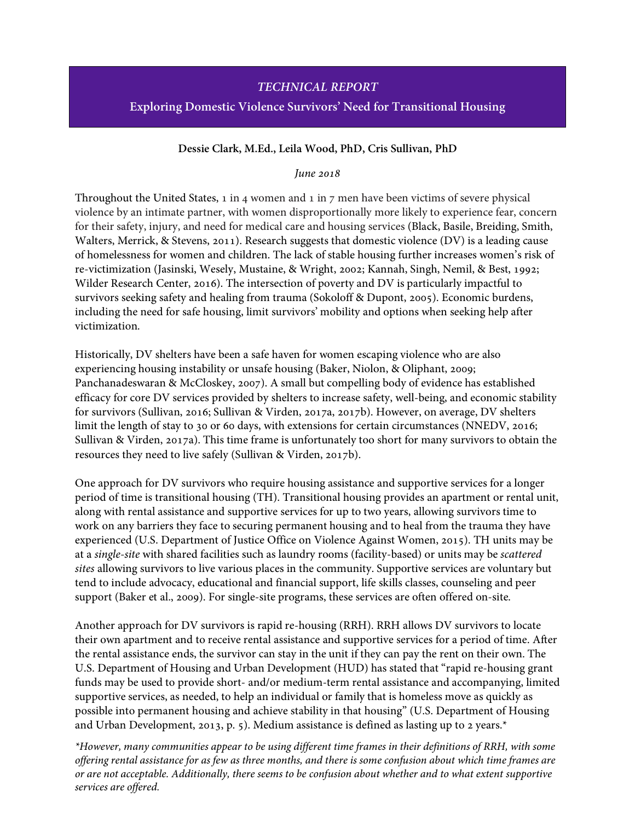## *TECHNICAL REPORT*

#### **Exploring Domestic Violence Survivors' Need for Transitional Housing**

#### **Dessie Clark, M.Ed., Leila Wood, PhD, Cris Sullivan, PhD**

#### *June 2018*

Throughout the United States, 1 in 4 women and 1 in 7 men have been victims of severe physical violence by an intimate partner, with women disproportionally more likely to experience fear, concern for their safety, injury, and need for medical care and housing services (Black, Basile, Breiding, Smith, Walters, Merrick, & Stevens, 2011). Research suggests that domestic violence (DV) is a leading cause of homelessness for women and children. The lack of stable housing further increases women's risk of re-victimization (Jasinski, Wesely, Mustaine, & Wright, 2002; Kannah, Singh, Nemil, & Best, 1992; Wilder Research Center, 2016). The intersection of poverty and DV is particularly impactful to survivors seeking safety and healing from trauma (Sokoloff & Dupont, 2005). Economic burdens, including the need for safe housing, limit survivors' mobility and options when seeking help after victimization.

Historically, DV shelters have been a safe haven for women escaping violence who are also experiencing housing instability or unsafe housing (Baker, Niolon, & Oliphant, 2009; Panchanadeswaran & McCloskey, 2007). A small but compelling body of evidence has established efficacy for core DV services provided by shelters to increase safety, well-being, and economic stability for survivors (Sullivan, 2016; Sullivan & Virden, 2017a, 2017b). However, on average, DV shelters limit the length of stay to 30 or 60 days, with extensions for certain circumstances (NNEDV, 2016; Sullivan & Virden, 2017a). This time frame is unfortunately too short for many survivors to obtain the resources they need to live safely (Sullivan & Virden, 2017b).

One approach for DV survivors who require housing assistance and supportive services for a longer period of time is transitional housing (TH). Transitional housing provides an apartment or rental unit, along with rental assistance and supportive services for up to two years, allowing survivors time to work on any barriers they face to securing permanent housing and to heal from the trauma they have experienced (U.S. Department of Justice Office on Violence Against Women, 2015). TH units may be at a *single-site* with shared facilities such as laundry rooms (facility-based) or units may be *scattered sites* allowing survivors to live various places in the community. Supportive services are voluntary but tend to include advocacy, educational and financial support, life skills classes, counseling and peer support (Baker et al., 2009). For single-site programs, these services are often offered on-site.

Another approach for DV survivors is rapid re-housing (RRH). RRH allows DV survivors to locate their own apartment and to receive rental assistance and supportive services for a period of time. After the rental assistance ends, the survivor can stay in the unit if they can pay the rent on their own. The U.S. Department of Housing and Urban Development (HUD) has stated that "rapid re-housing grant funds may be used to provide short- and/or medium-term rental assistance and accompanying, limited supportive services, as needed, to help an individual or family that is homeless move as quickly as possible into permanent housing and achieve stability in that housing" (U.S. Department of Housing and Urban Development, 2013, p. 5). Medium assistance is defined as lasting up to 2 years.\*

*\*However, many communities appear to be using different time frames in their definitions of RRH, with some offering rental assistance for as few as three months, and there is some confusion about which time frames are or are not acceptable. Additionally, there seems to be confusion about whether and to what extent supportive services are offered.*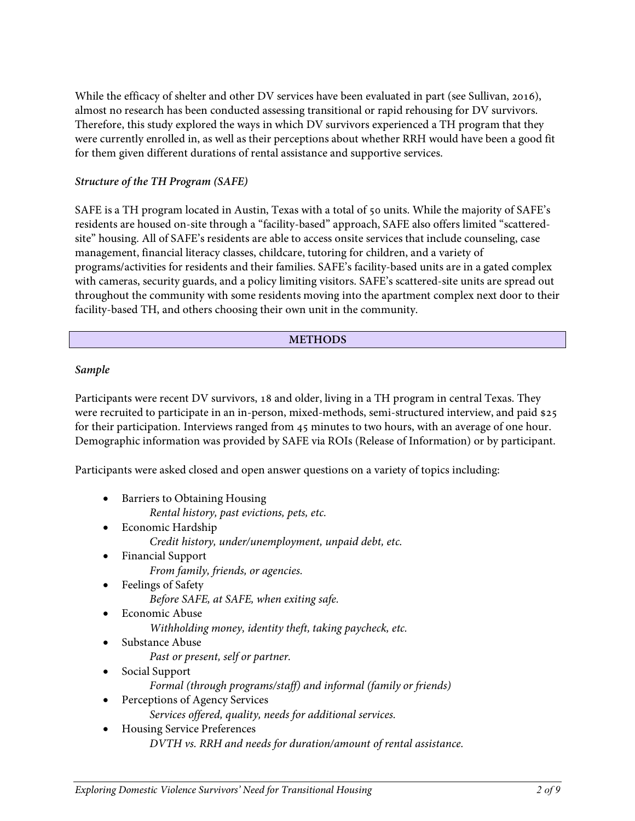While the efficacy of shelter and other DV services have been evaluated in part (see Sullivan, 2016), almost no research has been conducted assessing transitional or rapid rehousing for DV survivors. Therefore, this study explored the ways in which DV survivors experienced a TH program that they were currently enrolled in, as well as their perceptions about whether RRH would have been a good fit for them given different durations of rental assistance and supportive services.

### *Structure of the TH Program (SAFE)*

SAFE is a TH program located in Austin, Texas with a total of 50 units. While the majority of SAFE's residents are housed on-site through a "facility-based" approach, SAFE also offers limited "scatteredsite" housing. All of SAFE's residents are able to access onsite services that include counseling, case management, financial literacy classes, childcare, tutoring for children, and a variety of programs/activities for residents and their families. SAFE's facility-based units are in a gated complex with cameras, security guards, and a policy limiting visitors. SAFE's scattered-site units are spread out throughout the community with some residents moving into the apartment complex next door to their facility-based TH, and others choosing their own unit in the community.

#### **METHODS**

#### *Sample*

Participants were recent DV survivors, 18 and older, living in a TH program in central Texas. They were recruited to participate in an in-person, mixed-methods, semi-structured interview, and paid \$25 for their participation. Interviews ranged from 45 minutes to two hours, with an average of one hour. Demographic information was provided by SAFE via ROIs (Release of Information) or by participant.

Participants were asked closed and open answer questions on a variety of topics including:

- Barriers to Obtaining Housing
	- *Rental history, past evictions, pets, etc.*
- Economic Hardship *Credit history, under/unemployment, unpaid debt, etc.*
- Financial Support *From family, friends, or agencies.*
- Feelings of Safety *Before SAFE, at SAFE, when exiting safe.*
- Economic Abuse *Withholding money, identity theft, taking paycheck, etc.*
- Substance Abuse
	- *Past or present, self or partner.*
- Social Support *Formal (through programs/staff) and informal (family or friends)*
- Perceptions of Agency Services
	- *Services offered, quality, needs for additional services.*
- Housing Service Preferences *DVTH vs. RRH and needs for duration/amount of rental assistance.*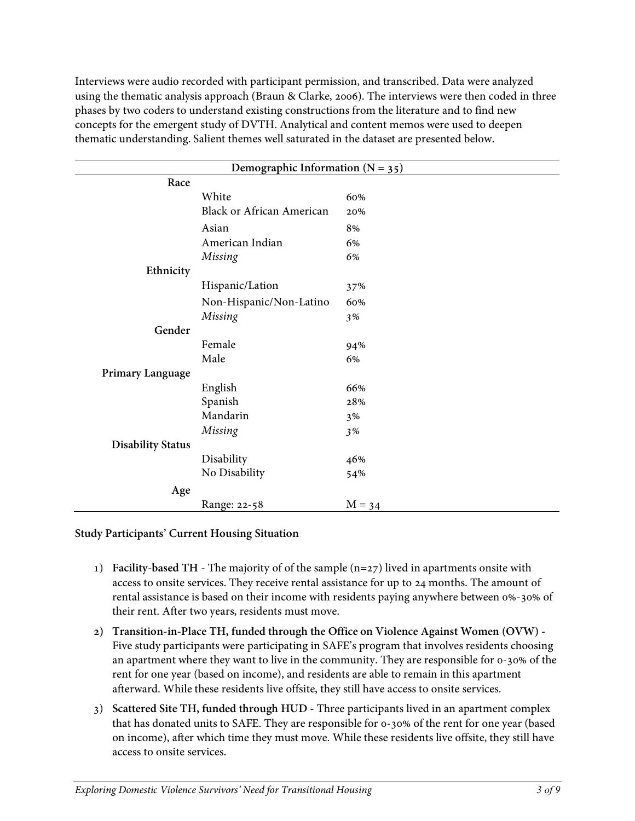Interviews were audio recorded with participant permission, and transcribed. Data were analyzed using the thematic analysis approach (Braun & Clarke, 2006). The interviews were then coded in three phases by two coders to understand existing constructions from the literature and to find new concepts for the emergent study of DVTH. Analytical and content memos were used to deepen thematic understanding. Salient themes well saturated in the dataset are presented below.

| Demographic Information ( $N = 35$ ) |                                  |          |  |
|--------------------------------------|----------------------------------|----------|--|
| Race                                 |                                  |          |  |
|                                      | White                            | 60%      |  |
|                                      | <b>Black or African American</b> | 20%      |  |
|                                      | Asian                            | 8%       |  |
|                                      | American Indian                  | 6%       |  |
|                                      | Missing                          | 6%       |  |
| Ethnicity                            |                                  |          |  |
|                                      | Hispanic/Lation                  | 37%      |  |
|                                      | Non-Hispanic/Non-Latino          | 60%      |  |
|                                      | Missing                          | 3%       |  |
| Gender                               |                                  |          |  |
|                                      | Female                           | 94%      |  |
|                                      | Male                             | 6%       |  |
| Primary Language                     |                                  |          |  |
|                                      | English                          | 66%      |  |
|                                      | Spanish                          | 28%      |  |
|                                      | Mandarin                         | 3%       |  |
|                                      | Missing                          | 3%       |  |
| <b>Disability Status</b>             |                                  |          |  |
|                                      | Disability                       | 46%      |  |
|                                      | No Disability                    | 54%      |  |
| Age                                  |                                  |          |  |
|                                      | Range: 22-58                     | $M = 34$ |  |

### **Study Participants' Current Housing Situation**

- 1) **Facility-based TH -** The majority of of the sample (n=27) lived in apartments onsite with access to onsite services. They receive rental assistance for up to 24 months. The amount of rental assistance is based on their income with residents paying anywhere between 0%-30% of their rent. After two years, residents must move.
- **2) Transition-in-Place TH, funded through the Office on Violence Against Women (OVW) -** Five study participants were participating in SAFE's program that involves residents choosing an apartment where they want to live in the community. They are responsible for 0-30% of the rent for one year (based on income), and residents are able to remain in this apartment afterward. While these residents live offsite, they still have access to onsite services.
- 3) **Scattered Site TH, funded through HUD -** Three participants lived in an apartment complex that has donated units to SAFE. They are responsible for 0-30% of the rent for one year (based on income), after which time they must move. While these residents live offsite, they still have access to onsite services.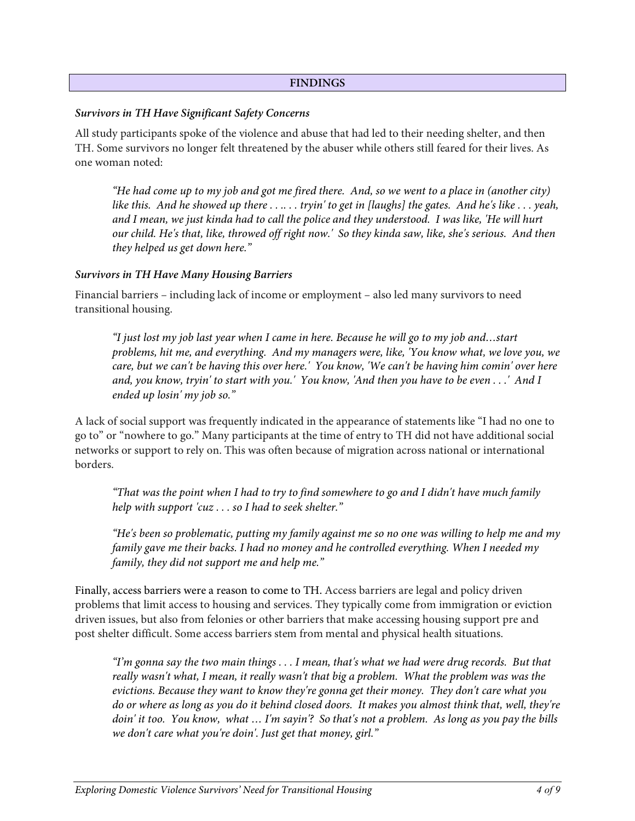#### **FINDINGS**

#### *Survivors in TH Have Significant Safety Concerns*

All study participants spoke of the violence and abuse that had led to their needing shelter, and then TH. Some survivors no longer felt threatened by the abuser while others still feared for their lives. As one woman noted:

*"He had come up to my job and got me fired there. And, so we went to a place in (another city) like this. And he showed up there . . .. . . tryin' to get in [laughs] the gates. And he's like . . . yeah, and I mean, we just kinda had to call the police and they understood. I was like, 'He will hurt our child. He's that, like, throwed off right now.' So they kinda saw, like, she's serious. And then they helped us get down here."*

#### *Survivors in TH Have Many Housing Barriers*

Financial barriers – including lack of income or employment – also led many survivors to need transitional housing.

*"I just lost my job last year when I came in here. Because he will go to my job and…start problems, hit me, and everything. And my managers were, like, 'You know what, we love you, we care, but we can't be having this over here.' You know, 'We can't be having him comin' over here and, you know, tryin' to start with you.' You know, 'And then you have to be even . . .' And I ended up losin' my job so."*

A lack of social support was frequently indicated in the appearance of statements like "I had no one to go to" or "nowhere to go." Many participants at the time of entry to TH did not have additional social networks or support to rely on. This was often because of migration across national or international borders.

*"That was the point when I had to try to find somewhere to go and I didn't have much family help with support 'cuz . . . so I had to seek shelter."*

*"He's been so problematic, putting my family against me so no one was willing to help me and my family gave me their backs. I had no money and he controlled everything. When I needed my family, they did not support me and help me."*

Finally, access barriers were a reason to come to TH. Access barriers are legal and policy driven problems that limit access to housing and services. They typically come from immigration or eviction driven issues, but also from felonies or other barriers that make accessing housing support pre and post shelter difficult. Some access barriers stem from mental and physical health situations.

*"I'm gonna say the two main things . . . I mean, that's what we had were drug records. But that really wasn't what, I mean, it really wasn't that big a problem. What the problem was was the evictions. Because they want to know they're gonna get their money. They don't care what you do or where as long as you do it behind closed doors. It makes you almost think that, well, they're doin' it too. You know, what … I'm sayin'? So that's not a problem. As long as you pay the bills we don't care what you're doin'. Just get that money, girl."*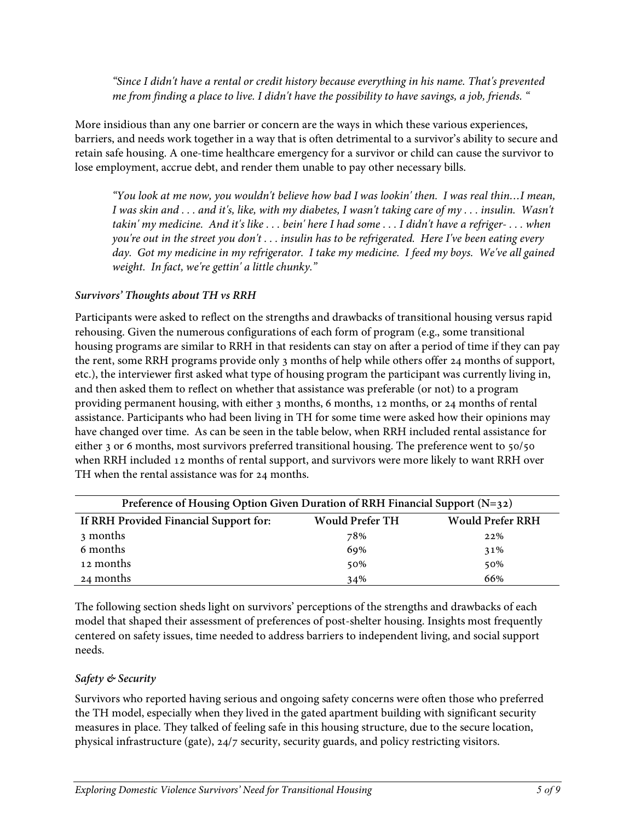*"Since I didn't have a rental or credit history because everything in his name. That's prevented me from finding a place to live. I didn't have the possibility to have savings, a job, friends. "*

More insidious than any one barrier or concern are the ways in which these various experiences, barriers, and needs work together in a way that is often detrimental to a survivor's ability to secure and retain safe housing. A one-time healthcare emergency for a survivor or child can cause the survivor to lose employment, accrue debt, and render them unable to pay other necessary bills.

*"You look at me now, you wouldn't believe how bad I was lookin' then. I was real thin…I mean, I was skin and . . . and it's, like, with my diabetes, I wasn't taking care of my . . . insulin. Wasn't takin' my medicine. And it's like . . . bein' here I had some . . . I didn't have a refriger- . . . when you're out in the street you don't . . . insulin has to be refrigerated. Here I've been eating every day. Got my medicine in my refrigerator. I take my medicine. I feed my boys. We've all gained weight. In fact, we're gettin' a little chunky."*

## *Survivors' Thoughts about TH vs RRH*

Participants were asked to reflect on the strengths and drawbacks of transitional housing versus rapid rehousing. Given the numerous configurations of each form of program (e.g., some transitional housing programs are similar to RRH in that residents can stay on after a period of time if they can pay the rent, some RRH programs provide only 3 months of help while others offer 24 months of support, etc.), the interviewer first asked what type of housing program the participant was currently living in, and then asked them to reflect on whether that assistance was preferable (or not) to a program providing permanent housing, with either 3 months, 6 months, 12 months, or 24 months of rental assistance. Participants who had been living in TH for some time were asked how their opinions may have changed over time. As can be seen in the table below, when RRH included rental assistance for either 3 or 6 months, most survivors preferred transitional housing. The preference went to 50/50 when RRH included 12 months of rental support, and survivors were more likely to want RRH over TH when the rental assistance was for 24 months.

| Preference of Housing Option Given Duration of RRH Financial Support (N=32) |                        |                         |  |  |  |
|-----------------------------------------------------------------------------|------------------------|-------------------------|--|--|--|
| If RRH Provided Financial Support for:                                      | <b>Would Prefer TH</b> | <b>Would Prefer RRH</b> |  |  |  |
| 3 months                                                                    | 78%                    | $22\%$                  |  |  |  |
| 6 months                                                                    | 69%                    | 31%                     |  |  |  |
| 12 months                                                                   | 50%                    | 50%                     |  |  |  |
| 24 months                                                                   | 34%                    | 66%                     |  |  |  |

The following section sheds light on survivors' perceptions of the strengths and drawbacks of each model that shaped their assessment of preferences of post-shelter housing. Insights most frequently centered on safety issues, time needed to address barriers to independent living, and social support needs.

### *Safety & Security*

Survivors who reported having serious and ongoing safety concerns were often those who preferred the TH model, especially when they lived in the gated apartment building with significant security measures in place. They talked of feeling safe in this housing structure, due to the secure location, physical infrastructure (gate), 24/7 security, security guards, and policy restricting visitors.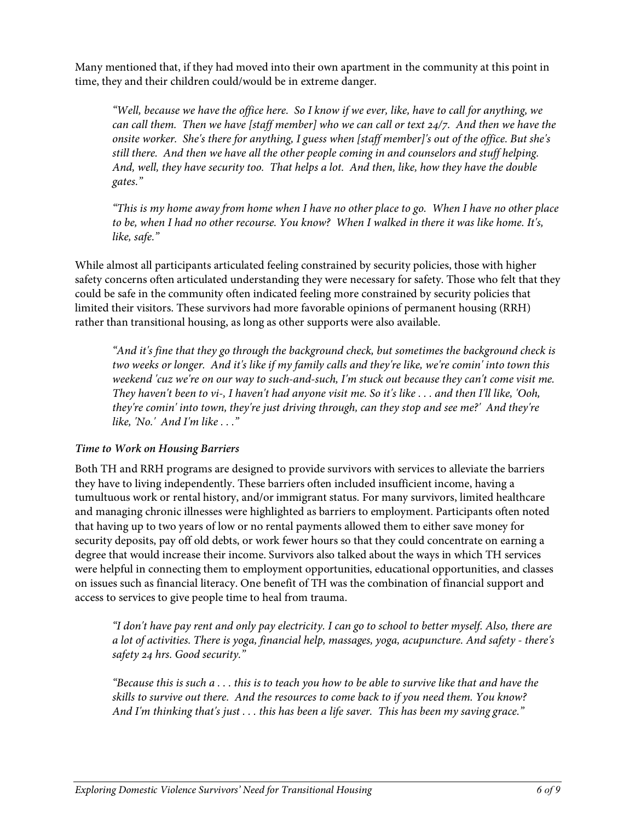Many mentioned that, if they had moved into their own apartment in the community at this point in time, they and their children could/would be in extreme danger.

*"Well, because we have the office here. So I know if we ever, like, have to call for anything, we can call them. Then we have [staff member] who we can call or text 24/7. And then we have the onsite worker. She's there for anything, I guess when [staff member]'s out of the office. But she's still there. And then we have all the other people coming in and counselors and stuff helping. And, well, they have security too. That helps a lot. And then, like, how they have the double gates."*

*"This is my home away from home when I have no other place to go. When I have no other place to be, when I had no other recourse. You know? When I walked in there it was like home. It's, like, safe."*

While almost all participants articulated feeling constrained by security policies, those with higher safety concerns often articulated understanding they were necessary for safety. Those who felt that they could be safe in the community often indicated feeling more constrained by security policies that limited their visitors. These survivors had more favorable opinions of permanent housing (RRH) rather than transitional housing, as long as other supports were also available.

*"And it's fine that they go through the background check, but sometimes the background check is two weeks or longer. And it's like if my family calls and they're like, we're comin' into town this weekend 'cuz we're on our way to such-and-such, I'm stuck out because they can't come visit me. They haven't been to vi-, I haven't had anyone visit me. So it's like . . . and then I'll like, 'Ooh, they're comin' into town, they're just driving through, can they stop and see me?' And they're like, 'No.' And I'm like . . ."*

### *Time to Work on Housing Barriers*

Both TH and RRH programs are designed to provide survivors with services to alleviate the barriers they have to living independently. These barriers often included insufficient income, having a tumultuous work or rental history, and/or immigrant status. For many survivors, limited healthcare and managing chronic illnesses were highlighted as barriers to employment. Participants often noted that having up to two years of low or no rental payments allowed them to either save money for security deposits, pay off old debts, or work fewer hours so that they could concentrate on earning a degree that would increase their income. Survivors also talked about the ways in which TH services were helpful in connecting them to employment opportunities, educational opportunities, and classes on issues such as financial literacy. One benefit of TH was the combination of financial support and access to services to give people time to heal from trauma.

*"I don't have pay rent and only pay electricity. I can go to school to better myself. Also, there are a lot of activities. There is yoga, financial help, massages, yoga, acupuncture. And safety - there's safety 24 hrs. Good security."* 

*"Because this is such a . . . this is to teach you how to be able to survive like that and have the skills to survive out there. And the resources to come back to if you need them. You know? And I'm thinking that's just . . . this has been a life saver. This has been my saving grace."*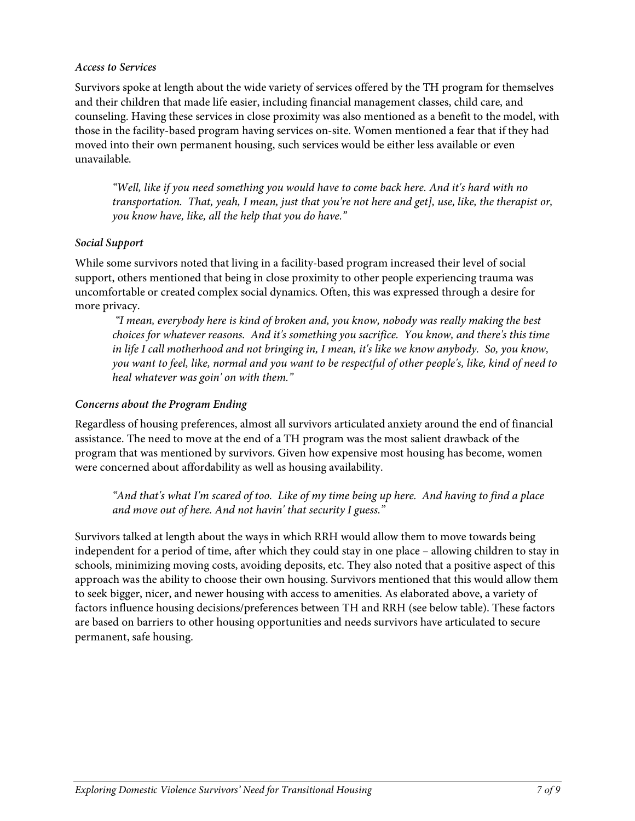### *Access to Services*

Survivors spoke at length about the wide variety of services offered by the TH program for themselves and their children that made life easier, including financial management classes, child care, and counseling. Having these services in close proximity was also mentioned as a benefit to the model, with those in the facility-based program having services on-site. Women mentioned a fear that if they had moved into their own permanent housing, such services would be either less available or even unavailable.

*"Well, like if you need something you would have to come back here. And it's hard with no transportation. That, yeah, I mean, just that you're not here and get], use, like, the therapist or, you know have, like, all the help that you do have."*

## *Social Support*

While some survivors noted that living in a facility-based program increased their level of social support, others mentioned that being in close proximity to other people experiencing trauma was uncomfortable or created complex social dynamics. Often, this was expressed through a desire for more privacy.

*"I mean, everybody here is kind of broken and, you know, nobody was really making the best choices for whatever reasons. And it's something you sacrifice. You know, and there's this time in life I call motherhood and not bringing in, I mean, it's like we know anybody. So, you know, you want to feel, like, normal and you want to be respectful of other people's, like, kind of need to heal whatever was goin' on with them."*

# *Concerns about the Program Ending*

Regardless of housing preferences, almost all survivors articulated anxiety around the end of financial assistance. The need to move at the end of a TH program was the most salient drawback of the program that was mentioned by survivors. Given how expensive most housing has become, women were concerned about affordability as well as housing availability.

*"And that's what I'm scared of too. Like of my time being up here. And having to find a place and move out of here. And not havin' that security I guess."*

Survivors talked at length about the ways in which RRH would allow them to move towards being independent for a period of time, after which they could stay in one place – allowing children to stay in schools, minimizing moving costs, avoiding deposits, etc. They also noted that a positive aspect of this approach was the ability to choose their own housing. Survivors mentioned that this would allow them to seek bigger, nicer, and newer housing with access to amenities. As elaborated above, a variety of factors influence housing decisions/preferences between TH and RRH (see below table). These factors are based on barriers to other housing opportunities and needs survivors have articulated to secure permanent, safe housing.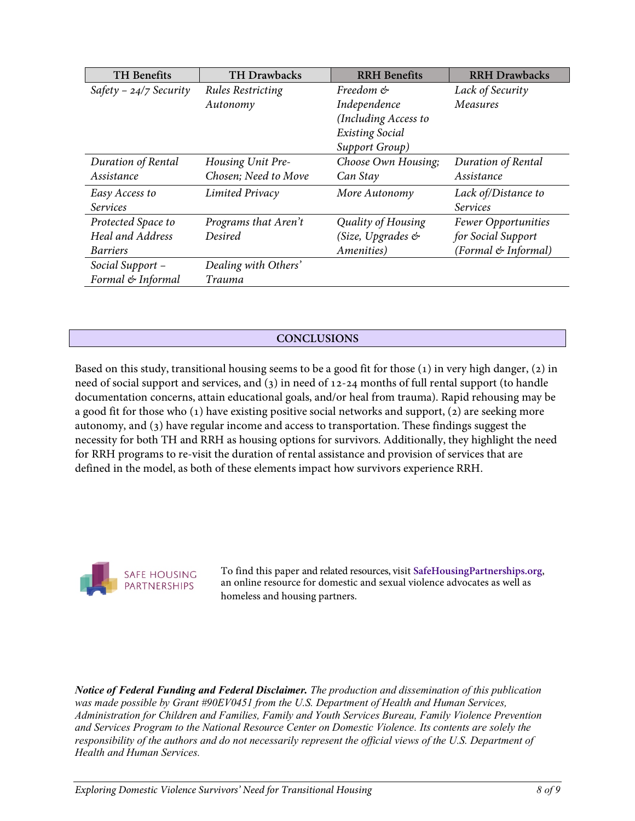| <b>TH</b> Benefits       | <b>TH Drawbacks</b>      | <b>RRH</b> Benefits    | <b>RRH Drawbacks</b> |
|--------------------------|--------------------------|------------------------|----------------------|
| Safety - $24/7$ Security | <b>Rules Restricting</b> | Freedom &              | Lack of Security     |
|                          | Autonomy                 | Independence           | Measures             |
|                          |                          | (Including Access to   |                      |
|                          |                          | <b>Existing Social</b> |                      |
|                          |                          | Support Group)         |                      |
| Duration of Rental       | Housing Unit Pre-        | Choose Own Housing;    | Duration of Rental   |
| Assistance               | Chosen; Need to Move     | Can Stay               | Assistance           |
| Easy Access to           | Limited Privacy          | More Autonomy          | Lack of/Distance to  |
| <b>Services</b>          |                          |                        | <b>Services</b>      |
| Protected Space to       | Programs that Aren't     | Quality of Housing     | Fewer Opportunities  |
| <b>Heal and Address</b>  | Desired                  | (Size, Upgrades &      | for Social Support   |
| <b>Barriers</b>          |                          | Amenities)             | (Formal & Informal)  |
| Social Support -         | Dealing with Others'     |                        |                      |
| Formal & Informal        | Trauma                   |                        |                      |

## **CONCLUSIONS**

Based on this study, transitional housing seems to be a good fit for those (1) in very high danger, (2) in need of social support and services, and (3) in need of 12-24 months of full rental support (to handle documentation concerns, attain educational goals, and/or heal from trauma). Rapid rehousing may be a good fit for those who (1) have existing positive social networks and support, (2) are seeking more autonomy, and (3) have regular income and access to transportation. These findings suggest the necessity for both TH and RRH as housing options for survivors. Additionally, they highlight the need for RRH programs to re-visit the duration of rental assistance and provision of services that are defined in the model, as both of these elements impact how survivors experience RRH.



To find this paper and related resources, visit **SafeHousingPartnerships.org**, an online resource for domestic and sexual violence advocates as well as homeless and housing partners.

*Notice of Federal Funding and Federal Disclaimer. The production and dissemination of this publication was made possible by Grant #90EV0451 from the U.S. Department of Health and Human Services, Administration for Children and Families, Family and Youth Services Bureau, Family Violence Prevention and Services Program to the National Resource Center on Domestic Violence. Its contents are solely the responsibility of the authors and do not necessarily represent the official views of the U.S. Department of Health and Human Services.*